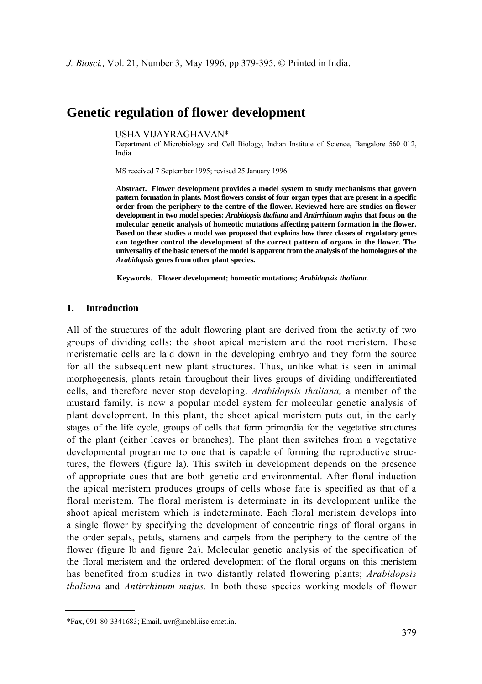# **Genetic regulation of flower development**

#### USHA VIJAYRAGHAVAN\*

Department of Microbiology and Cell Biology, Indian Institute of Science, Bangalore 560 012, India

MS received 7 September 1995; revised 25 January 1996

**Abstract. Flower development provides a model system to study mechanisms that govern pattern formation in plants. Most flowers consist of four organ types that are present in a specific order from the periphery to the centre of the flower. Reviewed here are studies on flower development in two model species:** *Arabidopsis thaliana* **and** *Antirrhinum majus* **that focus on the molecular genetic analysis of homeotic mutations affecting pattern formation in the flower. Based on these studies a model was proposed that explains how three classes of regulatory genes can together control the development of the correct pattern of organs in the flower. The universality of the basic tenets of the model is apparent from the analysis of the homologues of the**  *Arabidopsis* **genes from other plant species.** 

**Keywords. Flower development; homeotic mutations;** *Arabidopsis thaliana.* 

#### **1. Introduction**

All of the structures of the adult flowering plant are derived from the activity of two groups of dividing cells: the shoot apical meristem and the root meristem. These meristematic cells are laid down in the developing embryo and they form the source for all the subsequent new plant structures. Thus, unlike what is seen in animal morphogenesis, plants retain throughout their lives groups of dividing undifferentiated cells, and therefore never stop developing. *Arabidopsis thaliana,* a member of the mustard family, is now a popular model system for molecular genetic analysis of plant development. In this plant, the shoot apical meristem puts out, in the early stages of the life cycle, groups of cells that form primordia for the vegetative structures of the plant (either leaves or branches). The plant then switches from a vegetative developmental programme to one that is capable of forming the reproductive structures, the flowers (figure la). This switch in development depends on the presence of appropriate cues that are both genetic and environmental. After floral induction the apical meristem produces groups of cells whose fate is specified as that of a floral meristem. The floral meristem is determinate in its development unlike the shoot apical meristem which is indeterminate. Each floral meristem develops into a single flower by specifying the development of concentric rings of floral organs in the order sepals, petals, stamens and carpels from the periphery to the centre of the flower (figure lb and figure 2a). Molecular genetic analysis of the specification of the floral meristem and the ordered development of the floral organs on this meristem has benefited from studies in two distantly related flowering plants; *Arabidopsis thaliana* and *Antirrhinum majus.* In both these species working models of flower

<sup>\*</sup>Fax, 091-80-3341683; Email, uvr@mcbl.iisc.ernet.in.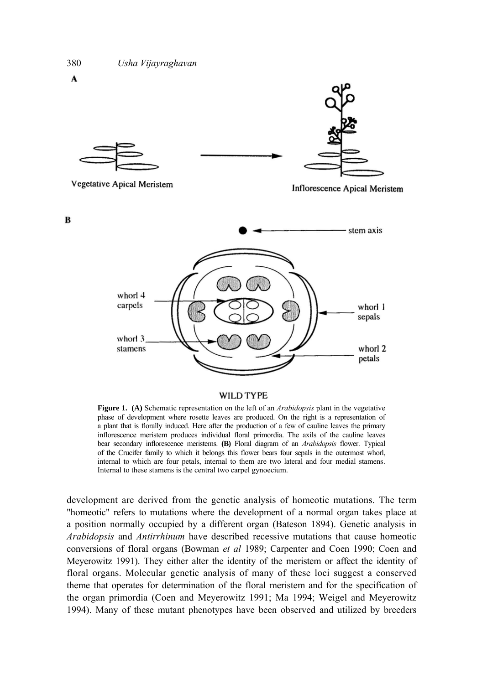

 $\bf{B}$ 



#### WILD TYPE

**Figure 1. (A)** Schematic representation on the left of an *Arabidopsis* plant in the vegetative phase of development where rosette leaves are produced. On the right is a representation of a plant that is florally induced. Here after the production of a few of cauline leaves the primary inflorescence meristem produces individual floral primordia. The axils of the cauline leaves bear secondary inflorescence meristems. **(B)** Floral diagram of an *Arabidopsis* flower. Typical of the Crucifer family to which it belongs this flower bears four sepals in the outermost whorl, internal to which are four petals, internal to them are two lateral and four medial stamens. Internal to these stamens is the central two carpel gynoecium.

development are derived from the genetic analysis of homeotic mutations. The term "homeotic" refers to mutations where the development of a normal organ takes place at a position normally occupied by a different organ (Bateson 1894). Genetic analysis in *Arabidopsis* and *Antirrhinum* have described recessive mutations that cause homeotic conversions of floral organs (Bowman *et al* 1989; Carpenter and Coen 1990; Coen and Meyerowitz 1991). They either alter the identity of the meristem or affect the identity of floral organs. Molecular genetic analysis of many of these loci suggest a conserved theme that operates for determination of the floral meristem and for the specification of the organ primordia (Coen and Meyerowitz 1991; Ma 1994; Weigel and Meyerowitz 1994). Many of these mutant phenotypes have been observed and utilized by breeders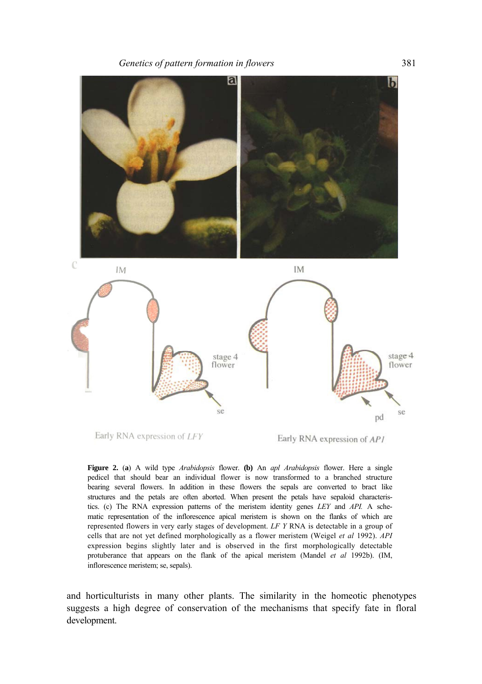



F



Early RNA expression of LFY

Early RNA expression of AP1

**Figure 2.** (**a**) A wild type *Arabidopsis* flower. **(b)** An *apl Arabidopsis* flower. Here a single pedicel that should bear an individual flower is now transformed to a branched structure bearing several flowers. In addition in these flowers the sepals are converted to bract like structures and the petals are often aborted. When present the petals have sepaloid characteristics. (c) The RNA expression patterns of the meristem identity genes *LEY* and *API.* A schematic representation of the inflorescence apical meristem is shown on the flanks of which are represented flowers in very early stages of development. *LF Υ* RNA is detectable in a group of cells that are not yet defined morphologically as a flower meristem (Weigel *et al* 1992). *API* expression begins slightly later and is observed in the first morphologically detectable protuberance that appears on the flank of the apical meristem (Mandel *et al* 1992b). (IM, inflorescence meristem; se, sepals).

and horticulturists in many other plants. The similarity in the homeotic phenotypes suggests a high degree of conservation of the mechanisms that specify fate in floral development.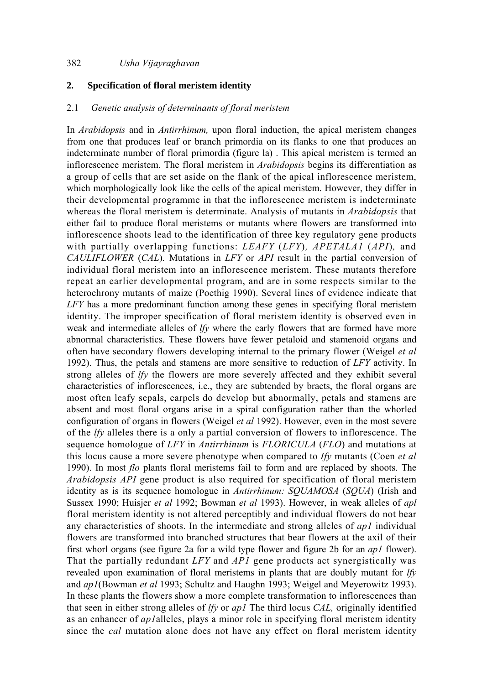### **2***.* **Specification of floral meristem identity**

### 2.1 *Genetic analysis of determinants of floral meristem*

In *Arabidopsis* and in *Antirrhinum,* upon floral induction, the apical meristem changes from one that produces leaf or branch primordia on its flanks to one that produces an indeterminate number of floral primordia (figure la) . This apical meristem is termed an inflorescence meristem. The floral meristem in *Arabidopsis* begins its differentiation as a group of cells that are set aside on the flank of the apical inflorescence meristem, which morphologically look like the cells of the apical meristem. However, they differ in their developmental programme in that the inflorescence meristem is indeterminate whereas the floral meristem is determinate. Analysis of mutants in *Arabidopsis* that either fail to produce floral meristems or mutants where flowers are transformed into inflorescence shoots lead to the identification of three key regulatory gene products with partially overlapping functions: *LEAFY* (*LFY*)*, APETALA1* (*API*)*,* and *CAULIFLOWER* (*CAL*)*.* Mutations in *LFY* or *API* result in the partial conversion of individual floral meristem into an inflorescence meristem. These mutants therefore repeat an earlier developmental program, and are in some respects similar to the heterochrony mutants of maize (Poethig 1990). Several lines of evidence indicate that *LFΥ* has a more predominant function among these genes in specifying floral meristem identity. The improper specification of floral meristem identity is observed even in weak and intermediate alleles of *lfy* where the early flowers that are formed have more abnormal characteristics. These flowers have fewer petaloid and stamenoid organs and often have secondary flowers developing internal to the primary flower (Weigel *et al*  1992). Thus, the petals and stamens are more sensitive to reduction of *LFY* activity. In strong alleles of *lfy* the flowers are more severely affected and they exhibit several characteristics of inflorescences, i.e., they are subtended by bracts, the floral organs are most often leafy sepals, carpels do develop but abnormally, petals and stamens are absent and most floral organs arise in a spiral configuration rather than the whorled configuration of organs in flowers (Weigel *et al* 1992). However, even in the most severe of the *lfy* alleles there is a only a partial conversion of flowers to inflorescence. The sequence homologue of *LFY* in *Antirrhinum* is *FLORICULA* (*FLO*) and mutations at this locus cause a more severe phenotype when compared to *Ify* mutants (Coen *et al*  1990). In most *flo* plants floral meristems fail to form and are replaced by shoots. The *Arabidopsis API* gene product is also required for specification of floral meristem identity as is its sequence homologue in *Antirrhinum: SQUAMOSA* (*SQUA*) (Irish and Sussex 1990; Huisjer *et al* 1992; Bowman *et al* 1993). However, in weak alleles of *apl*  floral meristem identity is not altered perceptibly and individual flowers do not bear any characteristics of shoots. In the intermediate and strong alleles of *ap1* individual flowers are transformed into branched structures that bear flowers at the axil of their first whorl organs (see figure 2a for a wild type flower and figure 2b for an *ap1* flower). That the partially redundant *LFY* and *AP1* gene products act synergistically was revealed upon examination of floral meristems in plants that are doubly mutant for *lfy*  and *ap1*(Bowman *et al* 1993; Schultz and Haughn 1993; Weigel and Meyerowitz 1993). In these plants the flowers show a more complete transformation to inflorescences than that seen in either strong alleles of *lfy* or *ap1* The third locus *CAL,* originally identified as an enhancer of *ap1*alleles, plays a minor role in specifying floral meristem identity since the *cal* mutation alone does not have any effect on floral meristem identity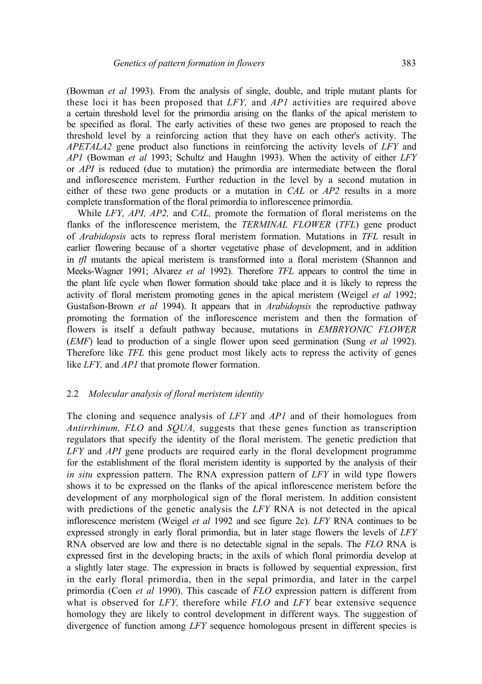(Bowman *et al* 1993). From the analysis of single, double, and triple mutant plants for these loci it has been proposed that *LFY,* and *AP1* activities are required above a certain threshold level for the primordia arising on the flanks of the apical meristem to be specified as floral. The early activities of these two genes are proposed to reach the threshold level by a reinforcing action that they have on each other's activity. The *APETALA2* gene product also functions in reinforcing the activity levels of *LFY* and *AP1* (Bowman *et al* 1993; Schultz and Haughn 1993). When the activity of either *LFY* or *API* is reduced (due to mutation) the primordia are intermediate between the floral and inflorescence meristem. Further reduction in the level by a second mutation in either of these two gene products or a mutation in *CAL* or *AP2* results in a more complete transformation of the floral primordia to inflorescence primordia.

While *LFY, API, AP2,* and *CAL,* promote the formation of floral meristems on the flanks of the inflorescence meristem, the *TERMINAL FLOWER* (*TFL*) gene product of *Arabidopsis* acts to repress floral meristem formation. Mutations in *TFL* result in earlier flowering because of a shorter vegetative phase of development, and in addition in *tfl* mutants the apical meristem is transformed into a floral meristem (Shannon and Meeks-Wagner 1991; Alvarez *et al* 1992). Therefore *ΤFL* appears to control the time in the plant life cycle when flower formation should take place and it is likely to repress the activity of floral meristem promoting genes in the apical meristem (Weigel *et al* 1992; Gustafson-Brown *et al* 1994). It appears that in *Arabidopsis* the reproductive pathway promoting the formation of the inflorescence meristem and then the formation of flowers is itself a default pathway because, mutations in *EMBRYONIC FLOWER*  (*EMF*) lead to production of a single flower upon seed germination (Sung *et al* 1992). Therefore like *TFL* this gene product most likely acts to repress the activity of genes like *LFY*, and *AP1* that promote flower formation.

#### 2.2 *Molecular analysis of floral meristem identity*

The cloning and sequence analysis of *LFY* and *AP1* and of their homologues from *Antirrhinum, FLO* and *SQUA,* suggests that these genes function as transcription regulators that specify the identity of the floral meristem. The genetic prediction that *LFY* and *API* gene products are required early in the floral development programme for the establishment of the floral meristem identity is supported by the analysis of their *in situ* expression pattern. The RNA expression pattern of *LFY* in wild type flowers shows it to be expressed on the flanks of the apical inflorescence meristem before the development of any morphological sign of the floral meristem. In addition consistent with predictions of the genetic analysis the *LFY* RNA is not detected in the apical inflorescence meristem (Weigel *et al* 1992 and see figure 2c). *LFΥ* RNA continues to be expressed strongly in early floral primordia, but in later stage flowers the levels of *LFΥ* RNA observed are low and there is no detectable signal in the sepals. The *FLO* RNA is expressed first in the developing bracts; in the axils of which floral primordia develop at a slightly later stage. The expression in bracts is followed by sequential expression, first in the early floral primordia, then in the sepal primordia, and later in the carpel primordia (Coen *et al* 1990). This cascade οf *FLO* expression pattern is different from what is observed for *LFY,* therefore while *FLO* and *LFY* bear extensive sequence homology they are likely to control development in different ways. The suggestion of divergence of function among *LFΥ* sequence homologous present in different species is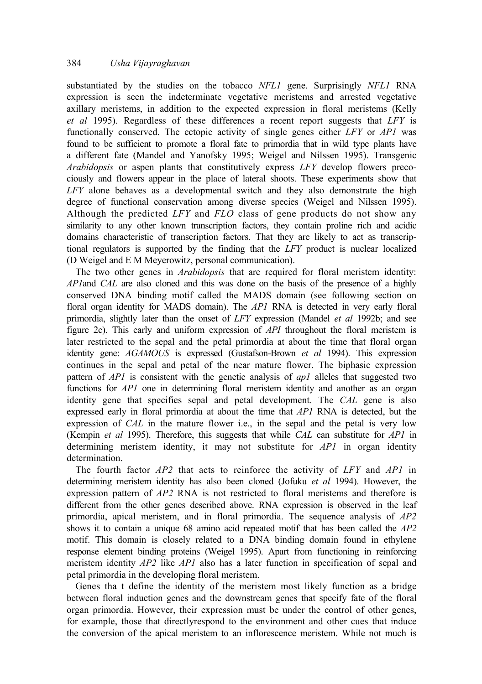substantiated by the studies on the tobacco *NFL1* gene. Surprisingly *NFL1* RNA expression is seen the indeterminate vegetative meristems and arrested vegetative axillary meristems, in addition to the expected expression in floral meristems (Kelly *et al* 1995). Regardless of these differences a recent report suggests that *LFY* is functionally conserved. The ectopic activity of single genes either *LFY* or *AP1* was found to be sufficient to promote a floral fate to primordia that in wild type plants have a different fate (Mandel and Yanofsky 1995; Weigel and Nilssen 1995). Transgenic *Arabidopsis* or aspen plants that constitutively express *LFY* develop flowers precociously and flowers appear in the place of lateral shoots. These experiments show that *LFY* alone behaves as a developmental switch and they also demonstrate the high degree of functional conservation among diverse species (Weigel and Nilssen 1995). Although the predicted *LFY* and *FLO* class of gene products do not show any similarity to any other known transcription factors, they contain proline rich and acidic domains characteristic of transcription factors. That they are likely to act as transcriptional regulators is supported by the finding that the *LFΥ* product is nuclear localized (D Weigel and Ε Μ Meyerowitz, personal communication).

The two other genes in *Arabidopsis* that are required for floral meristem identity: *AP1*and *CAL* are also cloned and this was done on the basis of the presence of a highly conserved DNA binding motif called the MADS domain (see following section on floral organ identity for MADS domain). The *AP1* RNA is detected in very early floral primordia, slightly later than the onset of *LFΥ* expression (Mandel *et al* 1992b; and see figure 2c). This early and uniform expression of *API* throughout the floral meristem is later restricted to the sepal and the petal primordia at about the time that floral organ identity gene: *AGAMOUS* is expressed (Gustafson-Brown *et al* 1994). This expression continues in the sepal and petal of the near mature flower. The biphasic expression pattern of *AP1* is consistent with the genetic analysis of *ap1* alleles that suggested two functions for *AP1* one in determining floral meristem identity and another as an organ identity gene that specifies sepal and petal development. The *CAL* gene is also expressed early in floral primordia at about the time that *AP1* RNA is detected, but the expression of *CAL* in the mature flower i.e., in the sepal and the petal is very low (Kempin *et al* 1995). Therefore, this suggests that while *CAL* can substitute for *AP1* in determining meristem identity, it may not substitute for *AP1* in organ identity determination.

The fourth factor *AP2* that acts to reinforce the activity of *LFY* and *AP1* in determining meristem identity has also been cloned (Jofuku *et al* 1994). However, the expression pattern of *AP2* RNA is not restricted to floral meristems and therefore is different from the other genes described above. RNA expression is observed in the leaf primordia, apical meristem, and in floral primordia. The sequence analysis of *AP2* shows it to contain a unique 68 amino acid repeated motif that has been called the *AP2*  motif. This domain is closely related to a DNA binding domain found in ethylene response element binding proteins (Weigel 1995). Apart from functioning in reinforcing meristem identity *AP2* like *AP1* also has a later function in specification of sepal and petal primordia in the developing floral meristem.

Genes tha t define the identity of the meristem most likely function as a bridge between floral induction genes and the downstream genes that specify fate of the floral organ primordia. However, their expression must be under the control of other genes, for example, those that directlyrespond to the environment and other cues that induce the conversion of the apical meristem to an inflorescence meristem. While not much is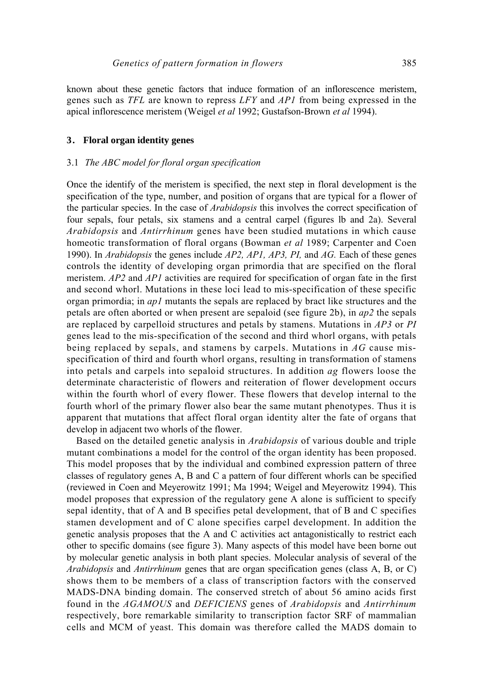known about these genetic factors that induce formation of an inflorescence meristem, genes such as *TFL* are known to repress *LFY* and *AP1* from being expressed in the apical inflorescence meristem (Weigel *et al* 1992; Gustafson-Brown *et al* 1994).

#### **3. Floral organ identity genes**

#### 3.1 *The ABC model for floral organ specification*

Once the identify of the meristem is specified, the next step in floral development is the specification of the type, number, and position of organs that are typical for a flower of the particular species. In the case of *Arabidopsis* this involves the correct specification of four sepals, four petals, six stamens and a central carpel (figures lb and 2a). Several *Arabidopsis* and *Antirrhinum* genes have been studied mutations in which cause homeotic transformation of floral organs (Bowman *et al* 1989; Carpenter and Coen 1990). In *Arabidopsis* the genes include *AP2, AP1, AP3, PI,* and *AG.* Each of these genes controls the identity of developing organ primordia that are specified on the floral meristem. *AP2* and *AP1* activities are required for specification of organ fate in the first and second whorl. Mutations in these loci lead to mis-specification of these specific organ primordia; in *ap1* mutants the sepals are replaced by bract like structures and the petals are often aborted or when present are sepaloid (see figure 2b), in *ap2* the sepals are replaced by carpelloid structures and petals by stamens. Mutations in *AP3* or *PI*  genes lead to the mis-specification of the second and third whorl organs, with petals being replaced by sepals, and stamens by carpels. Mutations in *AG* cause misspecification of third and fourth whorl organs, resulting in transformation of stamens into petals and carpels into sepaloid structures. In addition *ag* flowers loose the determinate characteristic of flowers and reiteration of flower development occurs within the fourth whorl of every flower. These flowers that develop internal to the fourth whorl of the primary flower also bear the same mutant phenotypes. Thus it is apparent that mutations that affect floral organ identity alter the fate of organs that develop in adjacent two whorls of the flower.

Based on the detailed genetic analysis in *Arabidopsis* of various double and triple mutant combinations a model for the control of the organ identity has been proposed. This model proposes that by the individual and combined expression pattern of three classes of regulatory genes Α, Β and C a pattern of four different whorls can be specified (reviewed in Coen and Meyerowitz 1991; Ma 1994; Weigel and Meyerowitz 1994). This model proposes that expression of the regulatory gene A alone is sufficient to specify sepal identity, that of A and Β specifies petal development, that of Β and C specifies stamen development and of C alone specifies carpel development. In addition the genetic analysis proposes that the A and C activities act antagonistically to restrict each other to specific domains (see figure 3). Many aspects of this model have been borne out by molecular genetic analysis in both plant species. Molecular analysis of several of the *Arabidopsis* and *Antirrhinum* genes that are organ specification genes (class A, B, or C) shows them to be members of a class of transcription factors with the conserved MADS-DNA binding domain. The conserved stretch of about 56 amino acids first found in the *AGAMOUS* and *DEFICIENS* genes of *Arabidopsis* and *Antirrhinum*  respectively, bore remarkable similarity to transcription factor SRF of mammalian cells and MCM of yeast. This domain was therefore called the MADS domain to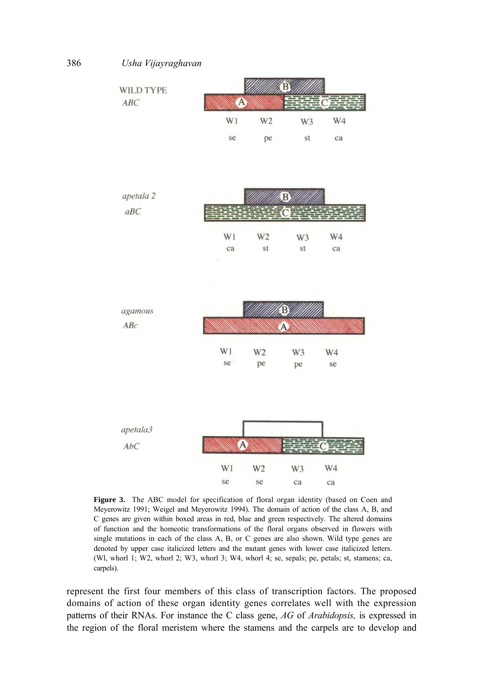

Figure 3. The ABC model for specification of floral organ identity (based on Coen and Meyerowitz 1991; Weigel and Meyerowitz 1994). The domain of action of the class A, B, and C genes are given within boxed areas in red, blue and green respectively. The altered domains of function and the homeotic transformations of the floral organs observed in flowers with single mutations in each of the class A, B, or C genes are also shown. Wild type genes are denoted by upper case italicized letters and the mutant genes with lower case italicized letters. (Wl, whorl 1; W2, whorl 2; W3, whorl 3; W4, whorl 4; se, sepals; pe, petals; st, stamens; ca, carpels).

represent the first four members of this class of transcription factors. The proposed domains of action of these organ identity genes correlates well with the expression patterns of their RNAs. For instance the C class gene, *AG* of *Arabidopsis,* is expressed in the region of the floral meristem where the stamens and the carpels are to develop and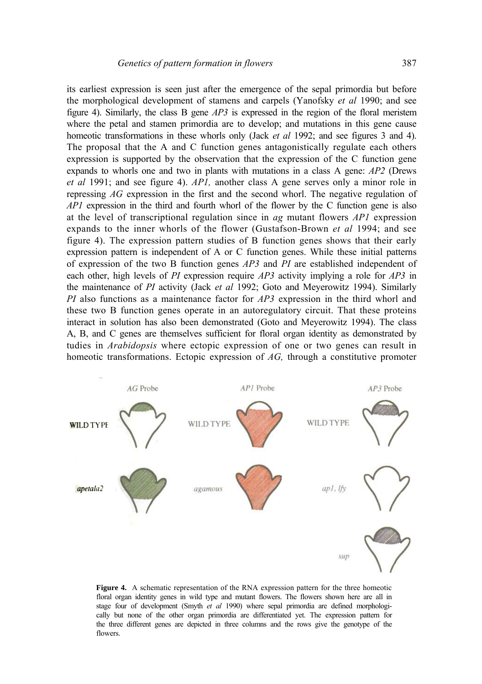its earliest expression is seen just after the emergence of the sepal primordia but before the morphological development of stamens and carpels (Yanofsky *et al* 1990; and see figure 4). Similarly, the class Β gene *AP3* is expressed in the region of the floral meristem where the petal and stamen primordia are to develop; and mutations in this gene cause homeotic transformations in these whorls only (Jack *et al* 1992; and see figures 3 and 4). The proposal that the A and C function genes antagonistically regulate each others expression is supported by the observation that the expression of the C function gene expands to whorls one and two in plants with mutations in a class A gene: *AP2* (Drews *et al* 1991; and see figure 4). *AP1,* another class A gene serves only a minor role in repressing *AG* expression in the first and the second whorl. The negative regulation of *AP1* expression in the third and fourth whorl of the flower by the C function gene is also at the level of transcriptional regulation since in *ag* mutant flowers *AP1* expression expands to the inner whorls of the flower (Gustafson-Brown *et al* 1994; and see figure 4). The expression pattern studies of Β function genes shows that their early expression pattern is independent of A or C function genes. While these initial patterns of expression of the two Β function genes *AP3* and *PI* are established independent of each other, high levels of *PI* expression require *AP3* activity implying a role for *AP3* in the maintenance of *PI* activity (Jack *et al* 1992; Goto and Meyerowitz 1994). Similarly *PI* also functions as a maintenance factor for *AP3* expression in the third whorl and these two Β function genes operate in an autoregulatory circuit. That these proteins interact in solution has also been demonstrated (Goto and Meyerowitz 1994). The class A, B, and C genes are themselves sufficient for floral organ identity as demonstrated by tudies in *Arabidopsis* where ectopic expression of one or two genes can result in homeotic transformations. Ectopic expression of *AG,* through a constitutive promoter



**Figure 4.** A schematic representation of the RNA expression pattern for the three homeotic floral organ identity genes in wild type and mutant flowers. The flowers shown here are all in stage four of development (Smyth *et al* 1990) where sepal primordia are defined morphologically but none of the other organ primordia are differentiated yet. The expression pattern for the three different genes are depicted in three columns and the rows give the genotype of the flowers.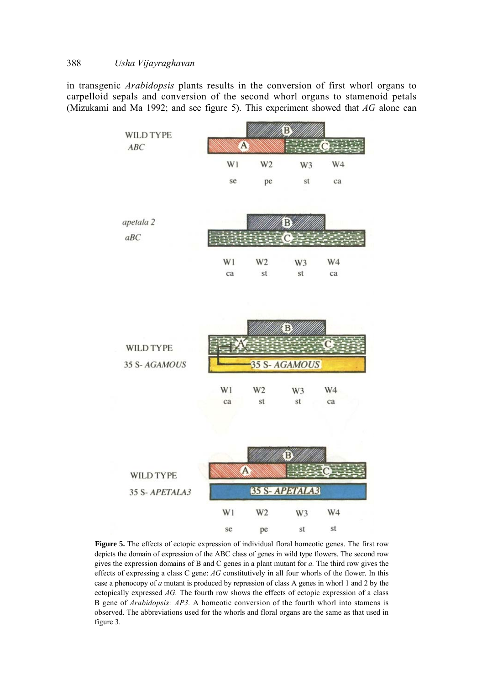in transgenic *Arabidopsis* plants results in the conversion of first whorl organs to carpelloid sepals and conversion of the second whorl organs to stamenoid petals (Mizukami and Ma 1992; and see figure 5). This experiment showed that *AG* alone can



**Figure 5.** The effects of ectopic expression of individual floral homeotic genes. The first row depicts the domain of expression of the ABC class of genes in wild type flowers. The second row gives the expression domains of Β and C genes in a plant mutant for *a.* The third row gives the effects of expressing a class C gene: *AG* constitutively in all four whorls of the flower. In this case a phenocopy of *a* mutant is produced by repression of class A genes in whorl 1 and 2 by the ectopically expressed *AG.* The fourth row shows the effects of ectopic expression of a class Β gene of *Arabidopsis: AP3.* A homeotic conversion of the fourth whorl into stamens is observed. The abbreviations used for the whorls and floral organs are the same as that used in figure 3.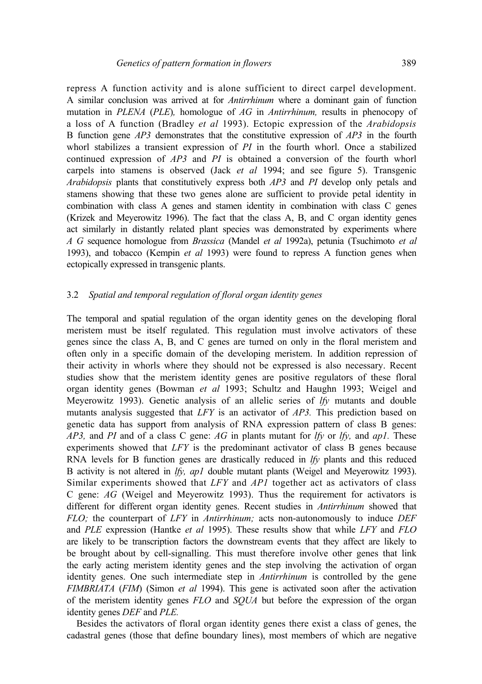repress A function activity and is alone sufficient to direct carpel development. A similar conclusion was arrived at for *Antirrhinum* where a dominant gain of function mutation in *PLENA* (*PLE*)*,* homologue of *AG* in *Antirrhinum,* results in phenocopy of a loss of A function (Bradley *et al* 1993). Ectopic expression of the *Arabidopsis* Β function gene *AP3* demonstrates that the constitutive expression of *AP3* in the fourth whorl stabilizes a transient expression of *PI* in the fourth whorl. Once a stabilized continued expression of *AP3* and *PI* is obtained a conversion of the fourth whorl carpels into stamens is observed (Jack *et al* 1994; and see figure 5). Transgenic *Arabidopsis* plants that constitutively express both *AP3* and *PI* develop only petals and stamens showing that these two genes alone are sufficient to provide petal identity in combination with class A genes and stamen identity in combination with class C genes (Krizek and Meyerowitz 1996). The fact that the class A, B, and C organ identity genes act similarly in distantly related plant species was demonstrated by experiments where *A G* sequence homologue from *Brassica* (Mandel *et al* 1992a), petunia (Tsuchimoto *et al* 1993), and tobacco (Kempin *et al* 1993) were found to repress A function genes when ectopically expressed in transgenic plants.

### 3.2 *Spatial and temporal regulation of floral organ identity genes*

The temporal and spatial regulation of the organ identity genes on the developing floral meristem must be itself regulated. This regulation must involve activators of these genes since the class A, B, and C genes are turned on only in the floral meristem and often only in a specific domain of the developing meristem. In addition repression of their activity in whorls where they should not be expressed is also necessary. Recent studies show that the meristem identity genes are positive regulators of these floral organ identity genes (Bowman *et al* 1993; Schultz and Haughn 1993; Weigel and Meyerowitz 1993). Genetic analysis of an allelic series of *lfy* mutants and double mutants analysis suggested that *LFΥ* is an activator of *AP3.* This prediction based on genetic data has support from analysis of RNA expression pattern of class Β genes: *AP3,* and *PI* and of a class C gene: *AG* in plants mutant for *lfy* or *lfy,* and *ap1.* These experiments showed that *LFΥ* is the predominant activator of class Β genes because RNA levels for Β function genes are drastically reduced in *lfy* plants and this reduced Β activity is not altered in *lfy, ap1* double mutant plants (Weigel and Meyerowitz 1993). Similar experiments showed that *LFY* and *AP1* together act as activators of class C gene: *AG* (Weigel and Meyerowitz 1993). Thus the requirement for activators is different for different organ identity genes. Recent studies in *Antirrhinum* showed that *FLO;* the counterpart of *LFY* in *Antirrhinum;* acts non-autonomously to induce *DEF*  and *PLE* expression (Hantke *et al* 1995). These results show that while *LFY* and *FLO*  are likely to be transcription factors the downstream events that they affect are likely to be brought about by cell-signalling. This must therefore involve other genes that link the early acting meristem identity genes and the step involving the activation of organ identity genes. One such intermediate step in *Antirrhinum* is controlled by the gene *FIMBRIATA* (*FIM*) (Simon *et al* 1994). This gene is activated soon after the activation of the meristem identity genes *FLO* and *SQUA* but before the expression of the organ identity genes *DEF* and *PLE.* 

Besides the activators of floral organ identity genes there exist a class of genes, the cadastral genes (those that define boundary lines), most members of which are negative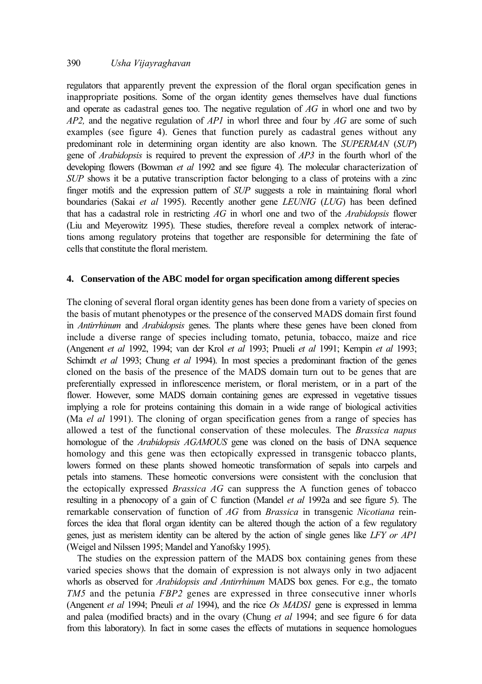regulators that apparently prevent the expression of the floral organ specification genes in inappropriate positions. Some of the organ identity genes themselves have dual functions and operate as cadastral genes too. The negative regulation of *AG* in whorl one and two by *AP2,* and the negative regulation of *AP1* in whorl three and four by *AG* are some of such examples (see figure 4). Genes that function purely as cadastral genes without any predominant role in determining organ identity are also known. The *SUPERMAN* (*SUP*) gene of *Arabidopsis* is required to prevent the expression of *AP3* in the fourth whorl of the developing flowers (Bowman *et al* 1992 and see figure 4). The molecular characterization of *SUP* shows it be a putative transcription factor belonging to a class of proteins with a zinc finger motifs and the expression pattern of *SUP* suggests a role in maintaining floral whorl boundaries (Sakai *et al* 1995). Recently another gene *LEUNIG* (*LUG*) has been defined that has a cadastral role in restricting *AG* in whorl one and two of the *Arabidopsis* flower (Liu and Meyerowitz 1995). These studies, therefore reveal a complex network of interactions among regulatory proteins that together are responsible for determining the fate of cells that constitute the floral meristem.

### **4. Conservation of the ABC model for organ specification among different species**

The cloning of several floral organ identity genes has been done from a variety of species on the basis of mutant phenotypes or the presence of the conserved MADS domain first found in *Antirrhinum* and *Arabidopsis* genes. The plants where these genes have been cloned from include a diverse range of species including tomato, petunia, tobacco, maize and rice (Angenent *et al* 1992, 1994; van der Krol *et al* 1993; Pnueli *et al* 1991; Kempin *et al* 1993; Schimdt *et al* 1993; Chung *et al* 1994). In most species a predominant fraction of the genes cloned on the basis of the presence of the MADS domain turn out to be genes that are preferentially expressed in inflorescence meristem, or floral meristem, or in a part of the flower. However, some MADS domain containing genes are expressed in vegetative tissues implying a role for proteins containing this domain in a wide range of biological activities (Ma *el al* 1991). The cloning of organ specification genes from a range of species has allowed a test of the functional conservation of these molecules. The *Brassica napus*  homologue of the *Arabidopsis AGAMOUS* gene was cloned on the basis of DNA sequence homology and this gene was then ectopically expressed in transgenic tobacco plants, lowers formed on these plants showed homeotic transformation of sepals into carpels and petals into stamens. These homeotic conversions were consistent with the conclusion that the ectopically expressed *Brassica AG* can suppress the A function genes of tobacco resulting in a phenocopy of a gain of C function (Mandel *et al* 1992a and see figure 5). The remarkable conservation of function of *AG* from *Brassica* in transgenic *Nicotiana* reinforces the idea that floral organ identity can be altered though the action of a few regulatory genes, just as meristem identity can be altered by the action of single genes like *LFY or AP1*  (Weigel and Nilssen 1995; Mandel and Yanofsky 1995).

The studies on the expression pattern of the MADS box containing genes from these varied species shows that the domain of expression is not always only in two adjacent whorls as observed for *Arabidopsis and Antirrhinum* MADS box genes. For e.g., the tomato *TM5* and the petunia *FBP2* genes are expressed in three consecutive inner whorls (Angenent *et al* 1994; Pneuli *et al* 1994), and the rice *Os MADS1* gene is expressed in lemma and palea (modified bracts) and in the ovary (Chung *et al* 1994; and see figure 6 for data from this laboratory). In fact in some cases the effects of mutations in sequence homologues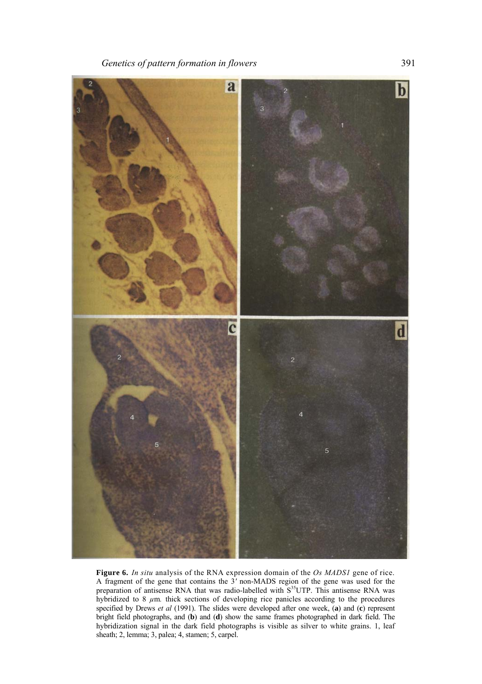

**Figure 6.** *In situ* analysis of the RNA expression domain of the *Os MADS1* gene of rice. A fragment of the gene that contains the 3*'* non-MADS region of the gene was used for the preparation of antisense RNA that was radio-labelled with  $S<sup>35</sup>$ UTP. This antisense RNA was hybridized to 8 *µ*m*.* thick sections of developing rice panicles according to the procedures specified by Drews *et al* (1991). The slides were developed after one week, (**a**) and (**c**) represent bright field photographs, and (**b**) and (**d**) show the same frames photographed in dark field. The hybridization signal in the dark field photographs is visible as silver to white grains. 1, leaf sheath; 2, lemma; 3, palea; 4, stamen; 5, carpel.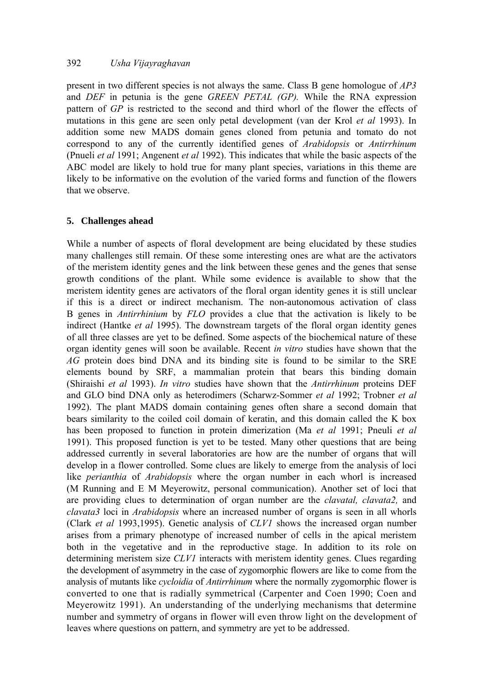present in two different species is not always the same. Class Β gene homologue of *AP3* and *DEF* in petunia is the gene *GREEN PETAL (GP).* While the RNA expression pattern of *GP* is restricted to the second and third whorl of the flower the effects of mutations in this gene are seen only petal development (van der Krol *et al* 1993). In addition some new MADS domain genes cloned from petunia and tomato do not correspond to any of the currently identified genes of *Arabidopsis* or *Antirrhinum*  (Pnueli *et al* 1991; Angenent *et al* 1992). This indicates that while the basic aspects of the ABC model are likely to hold true for many plant species, variations in this theme are likely to be informative on the evolution of the varied forms and function of the flowers that we observe.

### **5. Challenges ahead**

While a number of aspects of floral development are being elucidated by these studies many challenges still remain. Of these some interesting ones are what are the activators of the meristem identity genes and the link between these genes and the genes that sense growth conditions of the plant. While some evidence is available to show that the meristem identity genes are activators of the floral organ identity genes it is still unclear if this is a direct or indirect mechanism. The non-autonomous activation of class Β genes in *Antirrhinium* by *FLO* provides a clue that the activation is likely to be indirect (Hantke *et al* 1995). The downstream targets of the floral organ identity genes of all three classes are yet to be defined. Some aspects of the biochemical nature of these organ identity genes will soon be available. Recent *in vitro* studies have shown that the *AG* protein does bind DNA and its binding site is found to be similar to the SRE elements bound by SRF, a mammalian protein that bears this binding domain (Shiraishi *et al* 1993). *In vitro* studies have shown that the *Antirrhinum* proteins DEF and GLO bind DNA only as heterodimers (Scharwz-Sommer *et al* 1992; Trobner *et al*  1992). The plant MADS domain containing genes often share a second domain that bears similarity to the coiled coil domain of keratin, and this domain called the Κ box has been proposed to function in protein dimerization (Ma *et al* 1991; Pneuli *et al*  1991). This proposed function is yet to be tested. Many other questions that are being addressed currently in several laboratories are how are the number of organs that will develop in a flower controlled. Some clues are likely to emerge from the analysis of loci like *perianthia* of *Arabidopsis* where the organ number in each whorl is increased (M Running and Ε Μ Meyerowitz, personal communication). Another set of loci that are providing clues to determination of organ number are the *clavatal, clavata2,* and *clavata3* loci in *Arabidopsis* where an increased number of organs is seen in all whorls (Clark *et al* 1993,1995). Genetic analysis of *CLV1* shows the increased organ number arises from a primary phenotype of increased number of cells in the apical meristem both in the vegetative and in the reproductive stage. In addition to its role on determining meristem size *CLV1* interacts with meristem identity genes. Clues regarding the development of asymmetry in the case of zygomorphic flowers are like to come from the analysis of mutants like *cycloidia* of *Antirrhinum* where the normally zygomorphic flower is converted to one that is radially symmetrical (Carpenter and Coen 1990; Coen and Meyerowitz 1991). An understanding of the underlying mechanisms that determine number and symmetry of organs in flower will even throw light on the development of leaves where questions on pattern, and symmetry are yet to be addressed.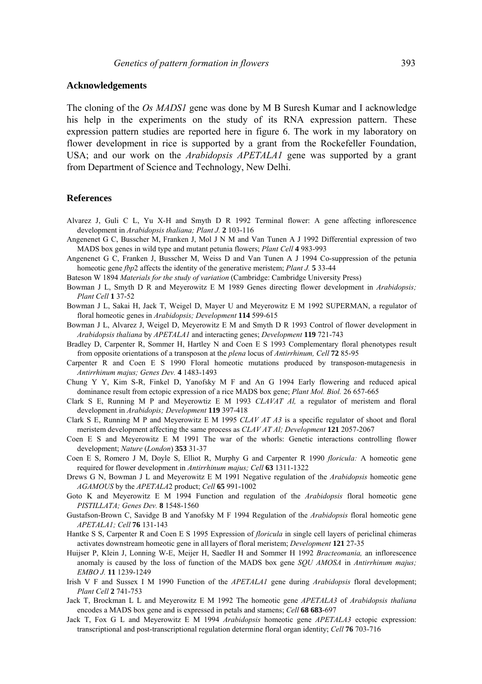### **Acknowledgements**

The cloning of the *Os MADS1* gene was done by Μ Β Suresh Kumar and I acknowledge his help in the experiments on the study of its RNA expression pattern. These expression pattern studies are reported here in figure 6. The work in my laboratory on flower development in rice is supported by a grant from the Rockefeller Foundation, USA; and our work on the *Arabidopsis APETALA1* gene was supported by a grant from Department of Science and Technology, New Delhi.

#### **References**

- Alvarez J, Guli C L, Yu X-H and Smyth D R 1992 Terminal flower: A gene affecting inflorescence development in *Arabidopsis thaliana; Plant J.* **2** 103-116
- Angenenet G C, Busscher Μ, Franken J, Mol J Ν Μ and Van Tunen A J 1992 Differential expression of two MADS box genes in wild type and mutant petunia flowers; *Plant Cell* **4** 983-993
- Angenenet G C, Franken J, Busscher Μ, Weiss D and Van Tunen A J 1994 Co-suppression of the petunia homeotic gene *fbp*2 affects the identity of the generative meristem; *Plant J.* **5** 33-44
- Bateson W 1894 *Materials for the study of variation* (Cambridge: Cambridge University Press)
- Bowman J L, Smyth D R and Meyerowitz Ε Μ 1989 Genes directing flower development in *Arabidopsis; Plant Cell* **1** 37-52
- Bowman J L, Sakai H, Jack T, Weigel D, Mayer U and Meyerowitz Ε Μ 1992 SUPERMAN, a regulator of floral homeotic genes in *Arabidopsis; Development* **114** 599-615
- Bowman J L, Alvarez J, Weigel D, Meyerowitz Ε Μ and Smyth D R 1993 Control of flower development in *Arabidopsis thaliana* by *APETALA1* and interacting genes; *Development* **119** 721-743
- Bradley D, Carpenter R, Sommer H, Hartley N and Coen E S 1993 Complementary floral phenotypes result from opposite orientations of a transposon at the *plena* locus οf *Antirrhinum, Cell* **72** 85-95
- Carpenter R and Coen Ε S 1990 Floral homeotic mutations produced by transposon-mutagenesis in *Antirrhinum majus; Genes Dev.* **4** 1483-1493
- Chung Υ Υ, Kim S-R, Finkel D, Yanofsky Μ F and An G 1994 Early flowering and reduced apical dominance result from ectopic expression of a rice MADS box gene; *Plant Mol. Biol.* 26 657-665
- Clark S E, Running Μ Ρ and Meyerowtiz E M 1993 *CLAVAT Al,* a regulator of meristem and floral development in *Arabidopis; Development* **119** 397-418
- Clark S E, Running Μ Ρ and Meyerowitz Ε Μ 1995 *CLAV AT A3* is a specific regulator of shoot and floral meristem development affecting the same process as *CLAV AT Al; Development* **121** 2057-2067
- Coen Ε S and Meyerowitz Ε Μ 1991 The war of the whorls: Genetic interactions controlling flower development; *Nature* (*London*) **353** 31-37
- Coen Ε S, Romero J Μ, Doyle S, Elliot R, Murphy G and Carpenter R 1990 *floricula:* Α homeotic gene required for flower development in *Antirrhinum majus; Cell* **63** 1311-1322
- Drews G N, Bowman J L and Meyerowitz Ε Μ 1991 Negative regulation of the *Arabidopsis* homeotic gene *AGAMOUS* by the *APETALA*2 product; *Cell* **65** 991-1002
- Goto Κ and Meyerowitz Ε Μ 1994 Function and regulation of the *Arabidopsis* floral homeotic gene *PISTILLATA; Genes Dev.* **8** 1548-1560
- Gustafson-Brown C, Savidge Β and Yanofsky Μ F 1994 Regulation of the *Arabidopsis* floral homeotic gene *APETALA1; Cell* **76** 131-143
- Hantke S S, Carpenter R and Coen Ε S 1995 Expression of *floricula* in single cell layers of periclinal chimeras activates downstream homeotic gene in all layers of floral meristem; *Development* **121** 27-35
- Huijser Ρ, Klein J, Lonning W-E, Meijer Η, Saedler Η and Sommer Η 1992 *Bracteomania,* an inflorescence anomaly is caused by the loss of function of the MADS box gene *SQU AMOSA* in *Antirrhinum majus; EMBO J.* **11** 1239-1249
- Irish V F and Sussex Ι Μ 1990 Function of the *APETALA1* gene during *Arabidopsis* floral development; *Plant Cell* **2** 741-753
- Jack T, Brockman L L and Meyerowitz Ε Μ 1992 The homeotic gene *APETALA3* of *Arabidopsis thaliana*  encodes a MADS box gene and is expressed in petals and stamens; *Cell* **68 683**-697
- Jack T, Fox G L and Meyerowitz Ε Μ 1994 *Arabidopsis* homeotic gene *APETALA3* ectopic expression: transcriptional and post-transcriptional regulation determine floral organ identity; *Cell* **76** 703-716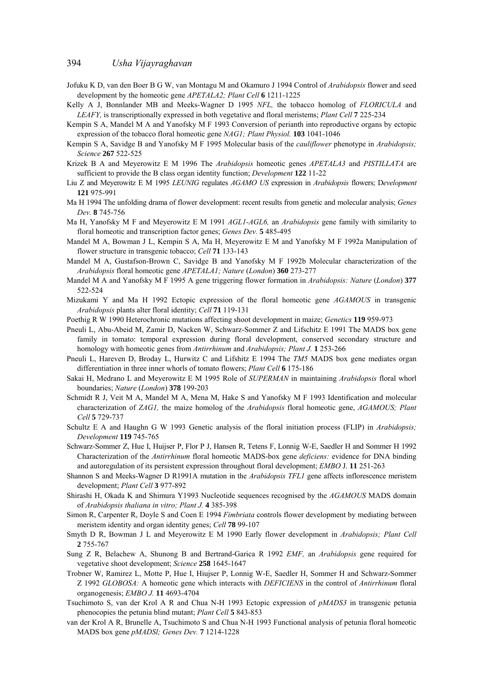- Jofuku Κ D, van den Boer Β G W, van Montagu Μ and Okamuro J 1994 Control of *Arabidopsis* flower and seed development by the homeotic gene *APETALA2; Plant Cell* **6** 1211-1225
- Kelly A J, Bonnlander MB and Meeks-Wagner D 1995 *NFL,* the tobacco homolog of *FLORICULA* and *LEAFY,* is transcriptionally expressed in both vegetative and floral meristems; *Plant Cell* **7** 225-234
- Kempin S A, Mandel Μ A and Yanofsky Μ F 1993 Conversion of perianth into reproductive organs by ectopic expression of the tobacco floral homeotic gene *NAG1; Plant Physiol.* **103** 1041-1046
- Kempin S A, Savidge Β and Yanofsky Μ F 1995 Molecular basis of the *cauliflower* phenotype in *Arabidopsis; Science* **267** 522-525
- Krizek Β A and Meyerowitz Ε Μ 1996 The *Arabidopsis* homeotic genes *APETALA3* and *PISTILLATA* are sufficient to provide the Β class organ identity function; *Development* **122** 11-22
- Liu Ζ and Meyerowitz Ε Μ 1995 *LEUNIG* regulates *AGAMO US* expression in *Arabidopsis* flowers; D*evelopment*  **121** 975-991
- Ma Η 1994 The unfolding drama of flower development: recent results from genetic and molecular analysis; *Genes Dev.* **8** 745-756
- Ma H, Yanofsky Μ F and Meyerowitz Ε Μ 1991 *AGL1-AGL6,* an *Arabidopsis* gene family with similarity to floral homeotic and transcription factor genes; *Genes Dev.* **5** 485-495
- Mandel Μ A, Bowman J L, Kempin S A, Ma H, Meyerowitz Ε Μ and Yanofsky Μ F 1992a Manipulation of flower structure in transgenic tobacco; *Cell* **71** 133-143
- Mandel Μ A, Gustafson-Brown C, Savidge Β and Yanofsky Μ F 1992b Molecular characterization of the *Arabidopsis* floral homeotic gene *APETALA1; Nature* (*London*) **360** 273-277
- Mandel Μ A and Yanofsky Μ F 1995 A gene triggering flower formation in *Arabidopsis: Nature* (*London*) **377**  522-524
- Mizukami Υ and Ma Η 1992 Ectopic expression of the floral homeotic gene *AGAMOUS* in transgenic *Arabidopsis* plants alter floral identity; *Cell* **71** 119-131
- Poethig R W 1990 Heterochronic mutations affecting shoot development in maize; *Genetics* **119** 959-973
- Pneuli L, Abu-Abeid M, Zamir D, Nacken W, Schwarz-Sommer Ζ and Lifschitz Ε 1991 The MADS box gene family in tomato: temporal expression during floral development, conserved secondary structure and homology with homeotic genes from *Antirrhinum* and *Arabidopsis; Plant J.* **1** 253-266
- Pneuli L, Hareven D, Broday L, Hurwitz C and Lifshitz Ε 1994 The *TM5* MADS box gene mediates organ differentiation in three inner whorls of tomato flowers; *Plant Cell* **6** 175-186
- Sakai H, Medrano L and Meyerowitz Ε Μ 1995 Role of *SUPERMAN* in maintaining *Arabidopsis* floral whorl boundaries; *Nature* (*London*) **378** 199-203
- Schmidt R J, Veit Μ Α, Mandel Μ A, Mena Μ, Hake S and Yanofsky Μ F 1993 Identification and molecular characterization of *ZAG1,* the maize homolog of the *Arabidopsis* floral homeotic gene, *AGAMOUS; Plant Cell* **5** 729-737
- Schultz Ε A and Haughn G W 1993 Genetic analysis of the floral initiation process (FLIP) in *Arabidopsis; Development* **119** 745-765
- Schwarz-Sommer Ζ, Hue I, Huijser Ρ, Flor Ρ J, Hansen R, Tetens F, Lonnig W-E, Saedler Η and Sommer Η 1992 Characterization of the *Antirrhinum* floral homeotic MADS-box gene *deficiens:* evidence for DNA binding and autoregulation of its persistent expression throughout floral development; *EMBO* J. **11** 251-263
- Shannon S and Meeks-Wagner D R1991A mutation in the *Arabidopsis TFL1* gene affects inflorescence meristem development; *Plant Cell* **3** 977-892
- Shirashi H, Okada Κ and Shimura Υ1993 Nucleotide sequences recognised by the *AGAMOUS* MADS domain of *Arabidopsis thaliana in vitro; Plant J.* **4** 385-398
- Simon R, Carpenter R, Doyle S and Coen Ε 1994 *Fimbriata* controls flower development by mediating between meristem identity and organ identity genes; *Cell* **78** 99-107
- Smyth D R, Bowman J L and Meyerowitz Ε Μ 1990 Early flower development in *Arabidopsis; Plant Cell*  **2** 755-767
- Sung Ζ R, Belachew A, Shunong Β and Bertrand-Garica R 1992 *EMF,* an *Arabidopsis* gene required for vegetative shoot development; *Science* **258** 1645-1647
- Trobner W, Ramirez L, Motte Ρ, Hue I, Hiujser P, Lonnig W-E, Saedler Η, Sommer Η and Schwarz-Sommer Ζ 1992 *GLOBOSA:* Α homeotic gene which interacts with *DEFICIENS* in the control of *Antirrhinum* floral organogenesis; *EMBO J.* **11** 4693-4704
- Tsuchimoto S, van der Krol A R and Chua N-H 1993 Ectopic expression of *pMADS3* in transgenic petunia phenocopies the petunia blind mutant; *Plant Cell* **5** 843-853
- van der Krol A R, Brunelle A, Tsuchimoto S and Chua N-H 1993 Functional analysis of petunia floral homeotic MADS box gene *pMADSl; Genes Dev.* **7** 1214-1228